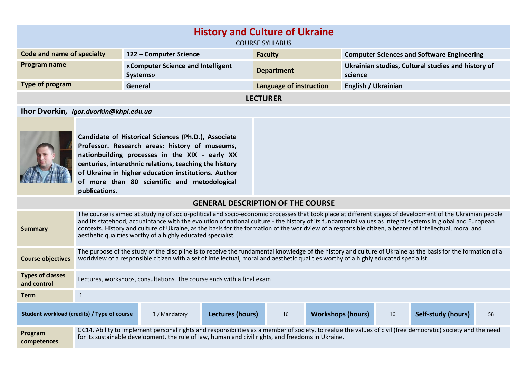| <b>History and Culture of Ukraine</b><br><b>COURSE SYLLABUS</b>                                                                                                                                                                                                                                                                           |                                                                                                                                                                                                                                                                                                                                                                                                                                                                                                                                                   |                                                       |                                          |                                                               |  |
|-------------------------------------------------------------------------------------------------------------------------------------------------------------------------------------------------------------------------------------------------------------------------------------------------------------------------------------------|---------------------------------------------------------------------------------------------------------------------------------------------------------------------------------------------------------------------------------------------------------------------------------------------------------------------------------------------------------------------------------------------------------------------------------------------------------------------------------------------------------------------------------------------------|-------------------------------------------------------|------------------------------------------|---------------------------------------------------------------|--|
| 122 - Computer Science<br>Code and name of specialty<br><b>Faculty</b><br><b>Computer Sciences and Software Engineering</b>                                                                                                                                                                                                               |                                                                                                                                                                                                                                                                                                                                                                                                                                                                                                                                                   |                                                       |                                          |                                                               |  |
| Program name                                                                                                                                                                                                                                                                                                                              |                                                                                                                                                                                                                                                                                                                                                                                                                                                                                                                                                   | «Computer Science and Intelligent<br><b>Systems</b> » | <b>Department</b>                        | Ukrainian studies, Cultural studies and history of<br>science |  |
| Type of program                                                                                                                                                                                                                                                                                                                           |                                                                                                                                                                                                                                                                                                                                                                                                                                                                                                                                                   | General                                               | Language of instruction                  | English / Ukrainian                                           |  |
|                                                                                                                                                                                                                                                                                                                                           | <b>LECTURER</b>                                                                                                                                                                                                                                                                                                                                                                                                                                                                                                                                   |                                                       |                                          |                                                               |  |
| Ihor Dvorkin, igor.dvorkin@khpi.edu.ua                                                                                                                                                                                                                                                                                                    |                                                                                                                                                                                                                                                                                                                                                                                                                                                                                                                                                   |                                                       |                                          |                                                               |  |
| Candidate of Historical Sciences (Ph.D.), Associate<br>Professor. Research areas: history of museums,<br>nationbuilding processes in the XIX - early XX<br>centuries, interethnic relations, teaching the history<br>of Ukraine in higher education institutions. Author<br>of more than 80 scientific and metodological<br>publications. |                                                                                                                                                                                                                                                                                                                                                                                                                                                                                                                                                   |                                                       |                                          |                                                               |  |
|                                                                                                                                                                                                                                                                                                                                           |                                                                                                                                                                                                                                                                                                                                                                                                                                                                                                                                                   |                                                       | <b>GENERAL DESCRIPTION OF THE COURSE</b> |                                                               |  |
| <b>Summary</b>                                                                                                                                                                                                                                                                                                                            | The course is aimed at studying of socio-political and socio-economic processes that took place at different stages of development of the Ukrainian people<br>and its statehood, acquaintance with the evolution of national culture - the history of its fundamental values as integral systems in global and European<br>contexts. History and culture of Ukraine, as the basis for the formation of the worldview of a responsible citizen, a bearer of intellectual, moral and<br>aesthetic qualities worthy of a highly educated specialist. |                                                       |                                          |                                                               |  |
| <b>Course objectives</b>                                                                                                                                                                                                                                                                                                                  | The purpose of the study of the discipline is to receive the fundamental knowledge of the history and culture of Ukraine as the basis for the formation of a<br>worldview of a responsible citizen with a set of intellectual, moral and aesthetic qualities worthy of a highly educated specialist.                                                                                                                                                                                                                                              |                                                       |                                          |                                                               |  |
| <b>Types of classes</b><br>and control                                                                                                                                                                                                                                                                                                    | Lectures, workshops, consultations. The course ends with a final exam                                                                                                                                                                                                                                                                                                                                                                                                                                                                             |                                                       |                                          |                                                               |  |

**Program competences** GC14. Ability to implement personal rights and responsibilities as a member of society, to realize the values of civil (free democratic) society and the need for its sustainable development, the rule of law, human and civil rights, and freedoms in Ukraine.

**Student workload (credits) / Type of course** 3 / Mandatory **Lectures (hours)** 16 **Workshops (hours)** 16 **Self-study (hours)** 58

**Term** 1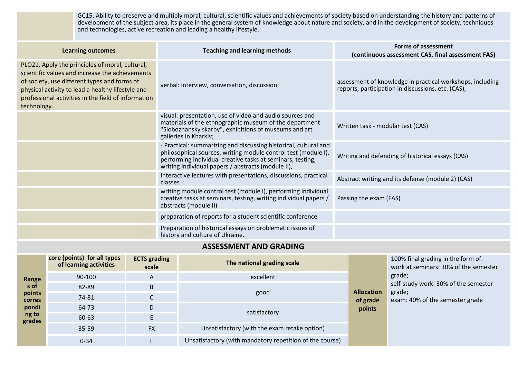GC15. Ability to preserve and multiply moral, cultural, scientific values and achievements of society based on understanding the history and patterns of development of the subject area, its place in the general system of knowledge about nature and society, and in the development of society, techniques and technologies, active recreation and leading a healthy lifestyle.

| <b>Learning outcomes</b>                                                                                                                                                                                                                                                      | <b>Teaching and learning methods</b>                                                                                                                                                                                                                   | <b>Forms of assessment</b><br>(continuous assessment CAS, final assessment FAS)                                 |
|-------------------------------------------------------------------------------------------------------------------------------------------------------------------------------------------------------------------------------------------------------------------------------|--------------------------------------------------------------------------------------------------------------------------------------------------------------------------------------------------------------------------------------------------------|-----------------------------------------------------------------------------------------------------------------|
| PLO21. Apply the principles of moral, cultural,<br>scientific values and increase the achievements<br>of society, use different types and forms of<br>physical activity to lead a healthy lifestyle and<br>professional activities in the field of information<br>technology. | verbal: interview, conversation, discussion;                                                                                                                                                                                                           | assessment of knowledge in practical workshops, including<br>reports, participation in discussions, etc. (CAS), |
|                                                                                                                                                                                                                                                                               | visual: presentation, use of video and audio sources and<br>materials of the ethnographic museum of the department<br>"Slobozhansky skarby", exhibitions of museums and art<br>galleries in Kharkiv;                                                   | Written task - modular test (CAS)                                                                               |
|                                                                                                                                                                                                                                                                               | - Practical: summarizing and discussing historical, cultural and<br>philosophical sources, writing module control test (module I),<br>performing individual creative tasks at seminars, testing,<br>writing individual papers / abstracts (module II), | Writing and defending of historical essays (CAS)                                                                |
|                                                                                                                                                                                                                                                                               | Interactive lectures with presentations, discussions, practical<br>classes                                                                                                                                                                             | Abstract writing and its defense (module 2) (CAS)                                                               |
|                                                                                                                                                                                                                                                                               | writing module control test (module I), performing individual<br>creative tasks at seminars, testing, writing individual papers /<br>abstracts (module II)                                                                                             | Passing the exam (FAS)                                                                                          |
|                                                                                                                                                                                                                                                                               | preparation of reports for a student scientific conference                                                                                                                                                                                             |                                                                                                                 |
|                                                                                                                                                                                                                                                                               | Preparation of historical essays on problematic issues of<br>history and culture of Ukraine.                                                                                                                                                           |                                                                                                                 |

## **ASSESSMENT AND GRADING**

| Range<br>s of<br>points<br><b>corres</b> | core (points) for all types<br>of learning activities | <b>ECTS</b> grading<br>scale | The national grading scale                               | <b>Allocation</b><br>of grade | 100% final grading in the form of:<br>work at seminars: 30% of the semester<br>grade;<br>self-study work: 30% of the semester<br>grade;<br>exam: 40% of the semester grade |
|------------------------------------------|-------------------------------------------------------|------------------------------|----------------------------------------------------------|-------------------------------|----------------------------------------------------------------------------------------------------------------------------------------------------------------------------|
|                                          | 90-100                                                | A                            | excellent                                                |                               |                                                                                                                                                                            |
|                                          | 82-89                                                 | B                            |                                                          |                               |                                                                                                                                                                            |
|                                          | 74-81                                                 | J                            | good                                                     |                               |                                                                                                                                                                            |
| pondi                                    | 64-73                                                 | D                            | satisfactory                                             | points                        |                                                                                                                                                                            |
| ng to<br>grades                          | 60-63                                                 | E                            |                                                          |                               |                                                                                                                                                                            |
|                                          | 35-59                                                 | <b>FX</b>                    | Unsatisfactory (with the exam retake option)             |                               |                                                                                                                                                                            |
|                                          | $0 - 34$                                              |                              | Unsatisfactory (with mandatory repetition of the course) |                               |                                                                                                                                                                            |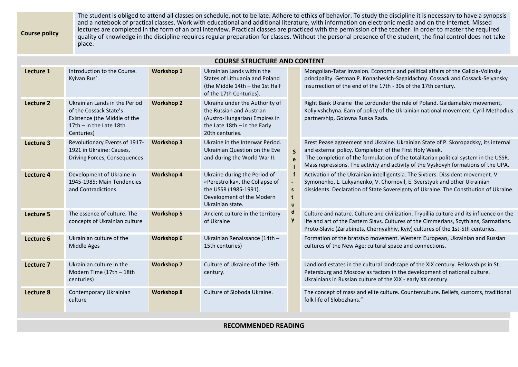The student is obliged to attend all classes on schedule, not to be late. Adhere to ethics of behavior. To study the discipline it is necessary to have a synopsis and a notebook of practical classes. Work with educational and additional literature, with information on electronic media and on the Internet. Missed lectures are completed in the form of an oral interview. Practical classes are practiced with the permission of the teacher. In order to master the required quality of knowledge in the discipline requires regular preparation for classes. Without the personal presence of the student, the final control does not take place.

**COURSE STRUCTURE AND CONTENT**

**Course policy**

| COURSE STRUCTURE AND CONTENT |                                                                                                                                    |                   |                                                                                                                                                  |                                                                         |                                                                                                                                                                                                                                                                                                                            |
|------------------------------|------------------------------------------------------------------------------------------------------------------------------------|-------------------|--------------------------------------------------------------------------------------------------------------------------------------------------|-------------------------------------------------------------------------|----------------------------------------------------------------------------------------------------------------------------------------------------------------------------------------------------------------------------------------------------------------------------------------------------------------------------|
| Lecture 1                    | Introduction to the Course.<br>Kyivan Rus'                                                                                         | <b>Workshop 1</b> | Ukrainian Lands within the<br>States of Lithuania and Poland<br>(the Middle 14th - the 1st Half<br>of the 17th Centuries).                       | $\overline{\mathsf{S}}$<br>$\mathbf{p}$<br>$\mathsf{s}$<br>$\mathbf{u}$ | Mongolian-Tatar invasion. Economic and political affairs of the Galicia-Volinsky<br>principality. Getman P. Konashevich-Sagaidachny. Cossack and Cossack-Selyansky<br>insurrection of the end of the 17th - 30s of the 17th century.                                                                                       |
| Lecture 2                    | Ukrainian Lands in the Period<br>of the Cossack State's<br>Existence (the Middle of the<br>17th $-$ in the Late 18th<br>Centuries) | <b>Workshop 2</b> | Ukraine under the Authority of<br>the Russian and Austrian<br>(Austro-Hungarian) Empires in<br>the Late $18th - in$ the Early<br>20th centuries. |                                                                         | Right Bank Ukraine the Lordunder the rule of Poland. Gaidamatsky movement,<br>Koliyivshchyna. Earn of policy of the Ukrainian national movement. Cyril-Methodius<br>partnership, Golovna Ruska Rada.                                                                                                                       |
| Lecture 3                    | Revolutionary Events of 1917-<br>1921 in Ukraine: Causes,<br>Driving Forces, Consequences                                          | <b>Workshop 3</b> | Ukraine in the Interwar Period.<br>Ukrainian Question on the Eve<br>and during the World War II.                                                 |                                                                         | Brest Pease agreement and Ukraine. Ukrainian State of P. Skoropadsky, its internal<br>and external policy. Completion of the First Holy Week.<br>The completion of the formulation of the totalitarian political system in the USSR.<br>Mass repressions. The activity and activity of the Vyskovyh formations of the UPA. |
| Lecture 4                    | Development of Ukraine in<br>1945-1985: Main Tendencies<br>and Contradictions.                                                     | <b>Workshop 4</b> | Ukraine during the Period of<br>«Perestroika», the Collapse of<br>the USSR (1985-1991).<br>Development of the Modern<br>Ukrainian state.         |                                                                         | Activation of the Ukrainian intelligentsia. The Sixtiers. Dissident movement. V.<br>Symonenko, L. Lukyanenko, V. Chornovil, E. Sverstyuk and other Ukrainian<br>dissidents. Declaration of State Sovereignty of Ukraine. The Constitution of Ukraine.                                                                      |
| Lecture 5                    | The essence of culture. The<br>concepts of Ukrainian culture                                                                       | <b>Workshop 5</b> | Ancient culture in the territory<br>of Ukraine                                                                                                   |                                                                         | Culture and nature. Culture and civilization. Trypillia culture and its influence on the<br>life and art of the Eastern Slavs. Cultures of the Cimmerians, Scythians, Sarmatians.<br>Proto-Slavic (Zarubinets, Chernyakhiv, Kyiv) cultures of the 1st-5th centuries.                                                       |
| Lecture 6                    | Ukrainian culture of the<br>Middle Ages                                                                                            | <b>Workshop 6</b> | Ukrainian Renaissance (14th -<br>15th centuries)                                                                                                 |                                                                         | Formation of the bratstvo movement. Western European, Ukrainian and Russian<br>cultures of the New Age: cultural space and connections.                                                                                                                                                                                    |
| Lecture 7                    | Ukrainian culture in the<br>Modern Time (17th - 18th<br>centuries)                                                                 | <b>Workshop 7</b> | Culture of Ukraine of the 19th<br>century.                                                                                                       |                                                                         | Landlord estates in the cultural landscape of the XIX century. Fellowships in St.<br>Petersburg and Moscow as factors in the development of national culture.<br>Ukrainians in Russian culture of the XIX - early XX century.                                                                                              |
| Lecture 8                    | Contemporary Ukrainian<br>culture                                                                                                  | <b>Workshop 8</b> | Culture of Sloboda Ukraine.                                                                                                                      |                                                                         | The concept of mass and elite culture. Counterculture. Beliefs, customs, traditional<br>folk life of Slobozhans."                                                                                                                                                                                                          |

## **RECOMMENDED READING**